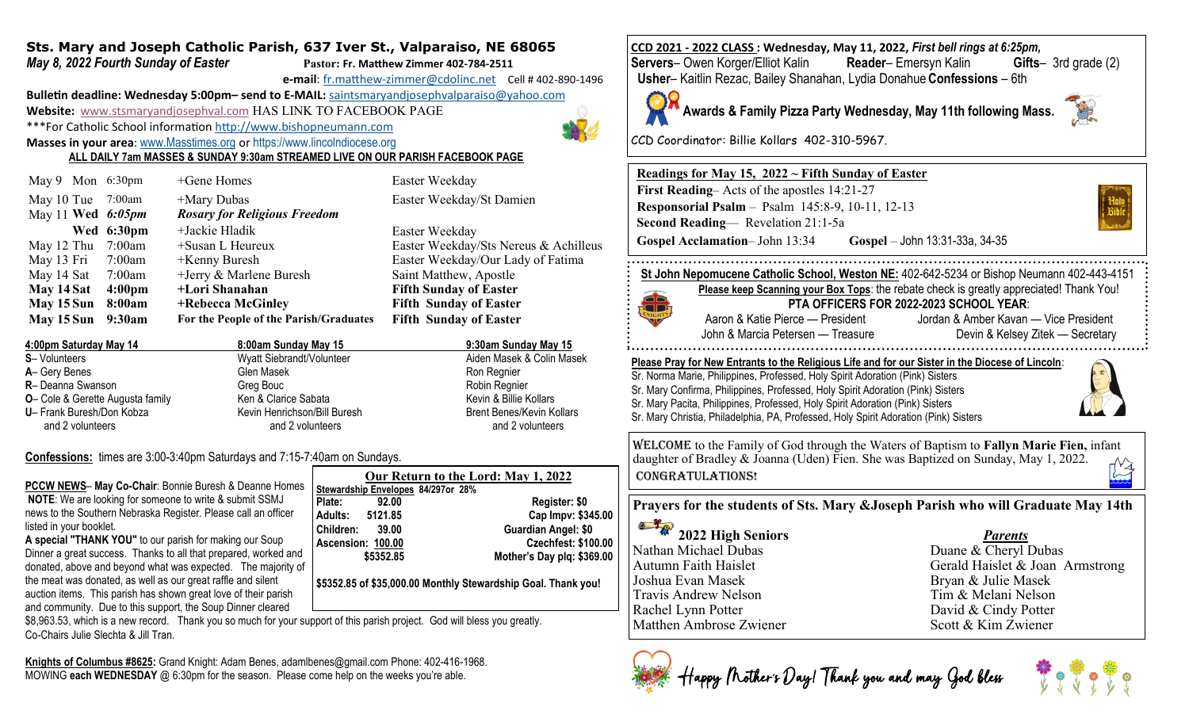#### **Sts. Mary and Joseph Catholic Parish, 637 Iver St., Valparaiso, NE 68065** *May 8, 2022 Fourth Sunday of Easter* **Pastor: Fr. Matthew Zimmer 402-784-2511**

**e-mail**: fr.matthew-[zimmer@cdolinc.net](mailto:fr.matthew-zimmer@cdolinc.net) Cell # 402-890-1496

**Bulletin deadline: Wednesday 5:00pm– send to E-MAIL:** [saintsmaryandjosephvalparaiso@yahoo.com](mailto:saintsmaryandjosephvalparaiso@yahoo.com) **Website:** [www.stsmaryandjosephval.com](http://www.stsmaryandjosephval.com/) HAS LINK TO FACEBOOK PAGE \*\*\*For Catholic School information [http://www.bishopneumann.com](http://www.bishopneuman.com)

**Masses in your area**: [www.Masstimes.org](file:///J:/Users/Sts.%20Mary%20and%20Josep/AppData/Local/Microsoft/Windows/Temporary%20Internet%20Files/Low/Content.IE5/12ZL2H74/www.Masstimes.org) or [https://www.lincolndiocese.org](https://www.lincolndiocese.org/easterrural)

**ALL DAILY 7am MASSES & SUNDAY 9:30am STREAMED LIVE ON OUR PARISH FACEBOOK PAGE**

|            | May 9 Mon 6:30pm    | $+$ Gene Homes                         | Easter Weekday                        |
|------------|---------------------|----------------------------------------|---------------------------------------|
| May 10 Tue | 7:00am              | +Mary Dubas                            | Easter Weekday/St Damien              |
|            | May 11 Wed $6:05pm$ | <b>Rosary for Religious Freedom</b>    |                                       |
|            | Wed 6:30pm          | $+$ Jackie Hladik                      | Easter Weekday                        |
| May 12 Thu | 7:00am              | +Susan L Heureux                       | Easter Weekday/Sts Nereus & Achilleus |
| May 13 Fri | 7:00am              | $+$ Kenny Buresh                       | Easter Weekday/Our Lady of Fatima     |
| May 14 Sat | 7:00am              | +Jerry & Marlene Buresh                | Saint Matthew, Apostle                |
| May 14 Sat | 4:00 <sub>pm</sub>  | +Lori Shanahan                         | <b>Fifth Sunday of Easter</b>         |
| May 15 Sun | 8:00am              | +Rebecca McGinley                      | <b>Fifth Sunday of Easter</b>         |
| May 15 Sun | 9:30am              | For the People of the Parish/Graduates | <b>Fifth Sunday of Easter</b>         |
|            |                     |                                        |                                       |

| 4:00pm Saturday May 14                   | 8:00am Sunday May 15         | 9:30am Sunday May 15             |
|------------------------------------------|------------------------------|----------------------------------|
| <b>S</b> -Volunteers                     | Wyatt Siebrandt/Volunteer    | Aiden Masek & Colin Masek        |
| A- Gery Benes                            | Glen Masek                   | Ron Regnier                      |
| R- Deanna Swanson                        | Greg Bouc                    | Robin Regnier                    |
| <b>O</b> - Cole & Gerette Augusta family | Ken & Clarice Sabata         | Kevin & Billie Kollars           |
| U- Frank Buresh/Don Kobza                | Kevin Henrichson/Bill Buresh | <b>Brent Benes/Kevin Kollars</b> |
| and 2 volunteers                         | and 2 volunteers             | and 2 volunteers                 |

**Confessions:** times are 3:00-3:40pm Saturdays and 7:15-7:40am on Sundays.

| Our Return to the Lord: May 1, 2022                                                                                           |  |
|-------------------------------------------------------------------------------------------------------------------------------|--|
| <b>PCCW NEWS-May Co-Chair: Bonnie Buresh &amp; Deanne Homes</b><br>Stewardship Envelopes 84/297or 28%                         |  |
| <b>NOTE:</b> We are looking for someone to write & submit SSMJ<br>Plate:<br>Register: \$0<br>92.00                            |  |
| news to the Southern Nebraska Register. Please call an officer<br>Cap Impv: \$345.00<br>Adults:<br>5121.85                    |  |
| listed in your booklet.<br><b>Guardian Angel: \$0</b><br>Children:<br>39.00                                                   |  |
| A special "THANK YOU" to our parish for making our Soup<br><b>Czechfest: \$100.00</b><br>Ascension: 100.00                    |  |
| Dinner a great success. Thanks to all that prepared, worked and<br>Mother's Day plq: \$369.00<br>\$5352.85                    |  |
| donated, above and beyond what was expected. The majority of                                                                  |  |
| the meat was donated, as well as our great raffle and silent<br>\$5352.85 of \$35,000.00 Monthly Stewardship Goal. Thank you! |  |
| auction items. This parish has shown great love of their parish                                                               |  |
| and community. Due to this support, the Soup Dinner cleared                                                                   |  |

\$8,963.53, which is a new record. Thank you so much for your support of this parish project. God will bless you greatly. Co-Chairs Julie Slechta & Jill Tran.

**Knights of Columbus #8625:** Grand Knight: Adam Benes, adamlbenes@gmail.com Phone: 402-416-1968. MOWING **each WEDNESDAY** @ 6:30pm for the season. Please come help on the weeks you're able.

 **Usher**– Kaitlin Rezac, Bailey Shanahan, Lydia Donahue**Confessions** – 6th **Awards & Family Pizza Party Wednesday, May 11th following Mass.**

**CCD 2021 - 2022 CLASS : Wednesday, May 11, 2022,** *First bell rings at 6:25pm,* 

CCD Coordinator: Billie Kollars 402-310-5967.

## **Readings for May 15, 2022 ~ Fifth Sunday of Easter First Reading**– Acts of the apostles 14:21-27 **Responsorial Psalm** – Psalm 145:8-9, 10-11, 12-13 **Second Reading**— Revelation 21:1-5a **Gospel Acclamation**– John 13:34 **Gospel** – John 13:31-33a, 34-35

**Servers**– Owen Korger/Elliot Kalin **Reader**– Emersyn Kalin **Gifts**– 3rd grade (2)

**St John Nepomucene Catholic School, Weston NE:** 402-642-5234 or Bishop Neumann 402-443-4151



**PTA OFFICERS FOR 2022-2023 SCHOOL YEAR**: Aaron & Katie Pierce — President Jordan & Amber Kavan — Vice President

John & Marcia Petersen — Treasure Devin & Kelsey Zitek — Secretary 

**Please Pray for New Entrants to the Religious Life and for our Sister in the Diocese of Lincoln**: Sr. Norma Marie, Philippines, Professed, Holy Spirit Adoration (Pink) Sisters Sr. Mary Confirma, Philippines, Professed, Holy Spirit Adoration (Pink) Sisters Sr. Mary Pacita, Philippines, Professed, Holy Spirit Adoration (Pink) Sisters Sr. Mary Christia, Philadelphia, PA, Professed, Holy Spirit Adoration (Pink) Sisters

Welcome to the Family of God through the Waters of Baptism to **Fallyn Marie Fien,** infant daughter of Bradley & Joanna (Uden) Fien. She was Baptized on Sunday, May 1, 2022. CONGRATULATIONS!

**Prayers for the students of Sts. Mary &Joseph Parish who will Graduate May 14th**

**2022 High Seniors** *Parents* Nathan Michael Dubas Duane & Cheryl Dubas Joshua Evan Masek Bryan & Julie Masek Travis Andrew Nelson<br>
Rachel Lynn Potter

Rachel Lynn Potter

Tim & Melani Nelson<br>
David & Cindy Potter Rachel Lynn Potter<br>
Matthen Ambrose Zwiener<br>
Matthen Ambrose Zwiener<br>
Scott & Kim Zwiener Matthen Ambrose Zwiener

Autumn Faith Haislet Gerald Haislet & Joan Armstrong